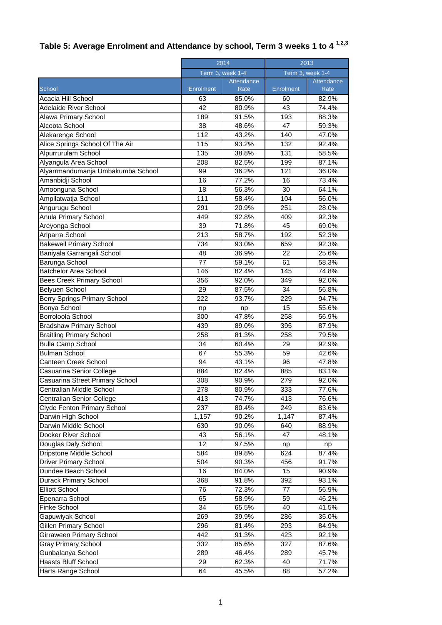## **Table 5: Average Enrolment and Attendance by school, Term 3 weeks 1 to 4 1,2,3**

| Term 3, week 1-4<br>Term 3, week 1-4<br>Attendance<br>Attendance<br>School<br><b>Enrolment</b><br>Enrolment<br>Rate<br>Rate<br>Acacia Hill School<br>63<br>85.0%<br>82.9%<br>60<br>Adelaide River School<br>42<br>43<br>80.9%<br>74.4%<br>189<br>91.5%<br>193<br>88.3%<br>Alawa Primary School<br>Alcoota School<br>38<br>48.6%<br>47<br>59.3%<br>112<br>Alekarenge School<br>43.2%<br>140<br>47.0%<br>Alice Springs School Of The Air<br>93.2%<br>92.4%<br>115<br>132<br>Alpurrurulam School<br>135<br>38.8%<br>131<br>58.5%<br>Alyangula Area School<br>208<br>82.5%<br>199<br>87.1%<br>Alyarrmandumanja Umbakumba School<br>99<br>36.2%<br>121<br>36.0%<br>Amanbidji School<br>16<br>77.2%<br>16<br>73.4%<br>30<br>Amoonguna School<br>18<br>56.3%<br>64.1%<br>Ampilatwatja School<br>111<br>58.4%<br>104<br>56.0%<br>Angurugu School<br>291<br>20.9%<br>251<br>28.0%<br>Anula Primary School<br>92.8%<br>449<br>409<br>92.3%<br>$\overline{39}$<br>Areyonga School<br>71.8%<br>45<br>69.0%<br>213<br>192<br>Arlparra School<br>58.7%<br>52.3%<br>734<br><b>Bakewell Primary School</b><br>93.0%<br>92.3%<br>659<br>22<br>Baniyala Garrangali School<br>48<br>36.9%<br>25.6%<br>Barunga School<br>77<br>59.1%<br>61<br>58.3%<br><b>Batchelor Area School</b><br>146<br>82.4%<br>145<br>74.8%<br>356<br>92.0%<br>349<br>92.0%<br>Bees Creek Primary School<br>34<br>Belyuen School<br>29<br>87.5%<br>56.8%<br>Berry Springs Primary School<br>222<br>229<br>94.7%<br>93.7%<br>Bonya School<br>15<br>55.6%<br>np<br>np<br>Borroloola School<br>300<br>56.9%<br>47.8%<br>258<br><b>Bradshaw Primary School</b><br>439<br>89.0%<br>395<br>87.9%<br>258<br><b>Braitling Primary School</b><br>81.3%<br>258<br>79.5%<br>34<br><b>Bulla Camp School</b><br>60.4%<br>29<br>92.9%<br><b>Bulman School</b><br>67<br>55.3%<br>59<br>42.6%<br>Canteen Creek School<br>94<br>96<br>47.8%<br>43.1%<br>Casuarina Senior College<br>884<br>82.4%<br>885<br>83.1%<br>Casuarina Street Primary School<br>308<br>90.9%<br>279<br>92.0%<br>Centralian Middle School<br>278<br>333<br>80.9%<br>77.6%<br>Centralian Senior College<br>413<br>413<br>74.7%<br>76.6%<br>237<br>Clyde Fenton Primary School<br>80.4%<br>249<br>83.6%<br>Darwin High School<br>1,157<br>90.2%<br>1,147<br>87.4%<br>Darwin Middle School<br>630<br>90.0%<br>640<br>88.9%<br>Docker River School<br>43<br>56.1%<br>47<br>48.1%<br>12<br>Douglas Daly School<br>97.5%<br>np<br>np<br>Dripstone Middle School<br>624<br>584<br>89.8%<br>87.4%<br><b>Driver Primary School</b><br>504<br>90.3%<br>456<br>91.7%<br>Dundee Beach School<br>16<br>84.0%<br>15<br>90.9%<br><b>Durack Primary School</b><br>368<br>392<br>91.8%<br>93.1%<br>76<br><b>Elliott School</b><br>72.3%<br>77<br>56.9%<br>Epenarra School<br>65<br>58.9%<br>59<br>46.2%<br>Finke School<br>34<br>65.5%<br>40<br>41.5%<br>Gapuwiyak School<br>269<br>286<br>39.9%<br>35.0%<br>Gillen Primary School<br>296<br>81.4%<br>293<br>84.9%<br>Girraween Primary School<br>442<br>91.3%<br>423<br>92.1%<br>Gray Primary School<br>332<br>327<br>85.6%<br>87.6%<br>Gunbalanya School<br>289<br>289<br>46.4%<br>45.7%<br>Haasts Bluff School<br>29<br>71.7%<br>62.3%<br>40 |                    | 2014 |       | 2013 |       |  |
|-----------------------------------------------------------------------------------------------------------------------------------------------------------------------------------------------------------------------------------------------------------------------------------------------------------------------------------------------------------------------------------------------------------------------------------------------------------------------------------------------------------------------------------------------------------------------------------------------------------------------------------------------------------------------------------------------------------------------------------------------------------------------------------------------------------------------------------------------------------------------------------------------------------------------------------------------------------------------------------------------------------------------------------------------------------------------------------------------------------------------------------------------------------------------------------------------------------------------------------------------------------------------------------------------------------------------------------------------------------------------------------------------------------------------------------------------------------------------------------------------------------------------------------------------------------------------------------------------------------------------------------------------------------------------------------------------------------------------------------------------------------------------------------------------------------------------------------------------------------------------------------------------------------------------------------------------------------------------------------------------------------------------------------------------------------------------------------------------------------------------------------------------------------------------------------------------------------------------------------------------------------------------------------------------------------------------------------------------------------------------------------------------------------------------------------------------------------------------------------------------------------------------------------------------------------------------------------------------------------------------------------------------------------------------------------------------------------------------------------------------------------------------------------------------------------------------------------------------------------------------------------------------------------------------------------------------------------------------------------------------------------------------------------------------------------------------------------------------------------------------------------------------------------------------------------------|--------------------|------|-------|------|-------|--|
|                                                                                                                                                                                                                                                                                                                                                                                                                                                                                                                                                                                                                                                                                                                                                                                                                                                                                                                                                                                                                                                                                                                                                                                                                                                                                                                                                                                                                                                                                                                                                                                                                                                                                                                                                                                                                                                                                                                                                                                                                                                                                                                                                                                                                                                                                                                                                                                                                                                                                                                                                                                                                                                                                                                                                                                                                                                                                                                                                                                                                                                                                                                                                                                         |                    |      |       |      |       |  |
|                                                                                                                                                                                                                                                                                                                                                                                                                                                                                                                                                                                                                                                                                                                                                                                                                                                                                                                                                                                                                                                                                                                                                                                                                                                                                                                                                                                                                                                                                                                                                                                                                                                                                                                                                                                                                                                                                                                                                                                                                                                                                                                                                                                                                                                                                                                                                                                                                                                                                                                                                                                                                                                                                                                                                                                                                                                                                                                                                                                                                                                                                                                                                                                         |                    |      |       |      |       |  |
|                                                                                                                                                                                                                                                                                                                                                                                                                                                                                                                                                                                                                                                                                                                                                                                                                                                                                                                                                                                                                                                                                                                                                                                                                                                                                                                                                                                                                                                                                                                                                                                                                                                                                                                                                                                                                                                                                                                                                                                                                                                                                                                                                                                                                                                                                                                                                                                                                                                                                                                                                                                                                                                                                                                                                                                                                                                                                                                                                                                                                                                                                                                                                                                         |                    |      |       |      |       |  |
|                                                                                                                                                                                                                                                                                                                                                                                                                                                                                                                                                                                                                                                                                                                                                                                                                                                                                                                                                                                                                                                                                                                                                                                                                                                                                                                                                                                                                                                                                                                                                                                                                                                                                                                                                                                                                                                                                                                                                                                                                                                                                                                                                                                                                                                                                                                                                                                                                                                                                                                                                                                                                                                                                                                                                                                                                                                                                                                                                                                                                                                                                                                                                                                         |                    |      |       |      |       |  |
|                                                                                                                                                                                                                                                                                                                                                                                                                                                                                                                                                                                                                                                                                                                                                                                                                                                                                                                                                                                                                                                                                                                                                                                                                                                                                                                                                                                                                                                                                                                                                                                                                                                                                                                                                                                                                                                                                                                                                                                                                                                                                                                                                                                                                                                                                                                                                                                                                                                                                                                                                                                                                                                                                                                                                                                                                                                                                                                                                                                                                                                                                                                                                                                         |                    |      |       |      |       |  |
|                                                                                                                                                                                                                                                                                                                                                                                                                                                                                                                                                                                                                                                                                                                                                                                                                                                                                                                                                                                                                                                                                                                                                                                                                                                                                                                                                                                                                                                                                                                                                                                                                                                                                                                                                                                                                                                                                                                                                                                                                                                                                                                                                                                                                                                                                                                                                                                                                                                                                                                                                                                                                                                                                                                                                                                                                                                                                                                                                                                                                                                                                                                                                                                         |                    |      |       |      |       |  |
|                                                                                                                                                                                                                                                                                                                                                                                                                                                                                                                                                                                                                                                                                                                                                                                                                                                                                                                                                                                                                                                                                                                                                                                                                                                                                                                                                                                                                                                                                                                                                                                                                                                                                                                                                                                                                                                                                                                                                                                                                                                                                                                                                                                                                                                                                                                                                                                                                                                                                                                                                                                                                                                                                                                                                                                                                                                                                                                                                                                                                                                                                                                                                                                         |                    |      |       |      |       |  |
|                                                                                                                                                                                                                                                                                                                                                                                                                                                                                                                                                                                                                                                                                                                                                                                                                                                                                                                                                                                                                                                                                                                                                                                                                                                                                                                                                                                                                                                                                                                                                                                                                                                                                                                                                                                                                                                                                                                                                                                                                                                                                                                                                                                                                                                                                                                                                                                                                                                                                                                                                                                                                                                                                                                                                                                                                                                                                                                                                                                                                                                                                                                                                                                         |                    |      |       |      |       |  |
|                                                                                                                                                                                                                                                                                                                                                                                                                                                                                                                                                                                                                                                                                                                                                                                                                                                                                                                                                                                                                                                                                                                                                                                                                                                                                                                                                                                                                                                                                                                                                                                                                                                                                                                                                                                                                                                                                                                                                                                                                                                                                                                                                                                                                                                                                                                                                                                                                                                                                                                                                                                                                                                                                                                                                                                                                                                                                                                                                                                                                                                                                                                                                                                         |                    |      |       |      |       |  |
|                                                                                                                                                                                                                                                                                                                                                                                                                                                                                                                                                                                                                                                                                                                                                                                                                                                                                                                                                                                                                                                                                                                                                                                                                                                                                                                                                                                                                                                                                                                                                                                                                                                                                                                                                                                                                                                                                                                                                                                                                                                                                                                                                                                                                                                                                                                                                                                                                                                                                                                                                                                                                                                                                                                                                                                                                                                                                                                                                                                                                                                                                                                                                                                         |                    |      |       |      |       |  |
|                                                                                                                                                                                                                                                                                                                                                                                                                                                                                                                                                                                                                                                                                                                                                                                                                                                                                                                                                                                                                                                                                                                                                                                                                                                                                                                                                                                                                                                                                                                                                                                                                                                                                                                                                                                                                                                                                                                                                                                                                                                                                                                                                                                                                                                                                                                                                                                                                                                                                                                                                                                                                                                                                                                                                                                                                                                                                                                                                                                                                                                                                                                                                                                         |                    |      |       |      |       |  |
|                                                                                                                                                                                                                                                                                                                                                                                                                                                                                                                                                                                                                                                                                                                                                                                                                                                                                                                                                                                                                                                                                                                                                                                                                                                                                                                                                                                                                                                                                                                                                                                                                                                                                                                                                                                                                                                                                                                                                                                                                                                                                                                                                                                                                                                                                                                                                                                                                                                                                                                                                                                                                                                                                                                                                                                                                                                                                                                                                                                                                                                                                                                                                                                         |                    |      |       |      |       |  |
|                                                                                                                                                                                                                                                                                                                                                                                                                                                                                                                                                                                                                                                                                                                                                                                                                                                                                                                                                                                                                                                                                                                                                                                                                                                                                                                                                                                                                                                                                                                                                                                                                                                                                                                                                                                                                                                                                                                                                                                                                                                                                                                                                                                                                                                                                                                                                                                                                                                                                                                                                                                                                                                                                                                                                                                                                                                                                                                                                                                                                                                                                                                                                                                         |                    |      |       |      |       |  |
|                                                                                                                                                                                                                                                                                                                                                                                                                                                                                                                                                                                                                                                                                                                                                                                                                                                                                                                                                                                                                                                                                                                                                                                                                                                                                                                                                                                                                                                                                                                                                                                                                                                                                                                                                                                                                                                                                                                                                                                                                                                                                                                                                                                                                                                                                                                                                                                                                                                                                                                                                                                                                                                                                                                                                                                                                                                                                                                                                                                                                                                                                                                                                                                         |                    |      |       |      |       |  |
|                                                                                                                                                                                                                                                                                                                                                                                                                                                                                                                                                                                                                                                                                                                                                                                                                                                                                                                                                                                                                                                                                                                                                                                                                                                                                                                                                                                                                                                                                                                                                                                                                                                                                                                                                                                                                                                                                                                                                                                                                                                                                                                                                                                                                                                                                                                                                                                                                                                                                                                                                                                                                                                                                                                                                                                                                                                                                                                                                                                                                                                                                                                                                                                         |                    |      |       |      |       |  |
|                                                                                                                                                                                                                                                                                                                                                                                                                                                                                                                                                                                                                                                                                                                                                                                                                                                                                                                                                                                                                                                                                                                                                                                                                                                                                                                                                                                                                                                                                                                                                                                                                                                                                                                                                                                                                                                                                                                                                                                                                                                                                                                                                                                                                                                                                                                                                                                                                                                                                                                                                                                                                                                                                                                                                                                                                                                                                                                                                                                                                                                                                                                                                                                         |                    |      |       |      |       |  |
|                                                                                                                                                                                                                                                                                                                                                                                                                                                                                                                                                                                                                                                                                                                                                                                                                                                                                                                                                                                                                                                                                                                                                                                                                                                                                                                                                                                                                                                                                                                                                                                                                                                                                                                                                                                                                                                                                                                                                                                                                                                                                                                                                                                                                                                                                                                                                                                                                                                                                                                                                                                                                                                                                                                                                                                                                                                                                                                                                                                                                                                                                                                                                                                         |                    |      |       |      |       |  |
|                                                                                                                                                                                                                                                                                                                                                                                                                                                                                                                                                                                                                                                                                                                                                                                                                                                                                                                                                                                                                                                                                                                                                                                                                                                                                                                                                                                                                                                                                                                                                                                                                                                                                                                                                                                                                                                                                                                                                                                                                                                                                                                                                                                                                                                                                                                                                                                                                                                                                                                                                                                                                                                                                                                                                                                                                                                                                                                                                                                                                                                                                                                                                                                         |                    |      |       |      |       |  |
|                                                                                                                                                                                                                                                                                                                                                                                                                                                                                                                                                                                                                                                                                                                                                                                                                                                                                                                                                                                                                                                                                                                                                                                                                                                                                                                                                                                                                                                                                                                                                                                                                                                                                                                                                                                                                                                                                                                                                                                                                                                                                                                                                                                                                                                                                                                                                                                                                                                                                                                                                                                                                                                                                                                                                                                                                                                                                                                                                                                                                                                                                                                                                                                         |                    |      |       |      |       |  |
|                                                                                                                                                                                                                                                                                                                                                                                                                                                                                                                                                                                                                                                                                                                                                                                                                                                                                                                                                                                                                                                                                                                                                                                                                                                                                                                                                                                                                                                                                                                                                                                                                                                                                                                                                                                                                                                                                                                                                                                                                                                                                                                                                                                                                                                                                                                                                                                                                                                                                                                                                                                                                                                                                                                                                                                                                                                                                                                                                                                                                                                                                                                                                                                         |                    |      |       |      |       |  |
|                                                                                                                                                                                                                                                                                                                                                                                                                                                                                                                                                                                                                                                                                                                                                                                                                                                                                                                                                                                                                                                                                                                                                                                                                                                                                                                                                                                                                                                                                                                                                                                                                                                                                                                                                                                                                                                                                                                                                                                                                                                                                                                                                                                                                                                                                                                                                                                                                                                                                                                                                                                                                                                                                                                                                                                                                                                                                                                                                                                                                                                                                                                                                                                         |                    |      |       |      |       |  |
|                                                                                                                                                                                                                                                                                                                                                                                                                                                                                                                                                                                                                                                                                                                                                                                                                                                                                                                                                                                                                                                                                                                                                                                                                                                                                                                                                                                                                                                                                                                                                                                                                                                                                                                                                                                                                                                                                                                                                                                                                                                                                                                                                                                                                                                                                                                                                                                                                                                                                                                                                                                                                                                                                                                                                                                                                                                                                                                                                                                                                                                                                                                                                                                         |                    |      |       |      |       |  |
|                                                                                                                                                                                                                                                                                                                                                                                                                                                                                                                                                                                                                                                                                                                                                                                                                                                                                                                                                                                                                                                                                                                                                                                                                                                                                                                                                                                                                                                                                                                                                                                                                                                                                                                                                                                                                                                                                                                                                                                                                                                                                                                                                                                                                                                                                                                                                                                                                                                                                                                                                                                                                                                                                                                                                                                                                                                                                                                                                                                                                                                                                                                                                                                         |                    |      |       |      |       |  |
|                                                                                                                                                                                                                                                                                                                                                                                                                                                                                                                                                                                                                                                                                                                                                                                                                                                                                                                                                                                                                                                                                                                                                                                                                                                                                                                                                                                                                                                                                                                                                                                                                                                                                                                                                                                                                                                                                                                                                                                                                                                                                                                                                                                                                                                                                                                                                                                                                                                                                                                                                                                                                                                                                                                                                                                                                                                                                                                                                                                                                                                                                                                                                                                         |                    |      |       |      |       |  |
|                                                                                                                                                                                                                                                                                                                                                                                                                                                                                                                                                                                                                                                                                                                                                                                                                                                                                                                                                                                                                                                                                                                                                                                                                                                                                                                                                                                                                                                                                                                                                                                                                                                                                                                                                                                                                                                                                                                                                                                                                                                                                                                                                                                                                                                                                                                                                                                                                                                                                                                                                                                                                                                                                                                                                                                                                                                                                                                                                                                                                                                                                                                                                                                         |                    |      |       |      |       |  |
|                                                                                                                                                                                                                                                                                                                                                                                                                                                                                                                                                                                                                                                                                                                                                                                                                                                                                                                                                                                                                                                                                                                                                                                                                                                                                                                                                                                                                                                                                                                                                                                                                                                                                                                                                                                                                                                                                                                                                                                                                                                                                                                                                                                                                                                                                                                                                                                                                                                                                                                                                                                                                                                                                                                                                                                                                                                                                                                                                                                                                                                                                                                                                                                         |                    |      |       |      |       |  |
|                                                                                                                                                                                                                                                                                                                                                                                                                                                                                                                                                                                                                                                                                                                                                                                                                                                                                                                                                                                                                                                                                                                                                                                                                                                                                                                                                                                                                                                                                                                                                                                                                                                                                                                                                                                                                                                                                                                                                                                                                                                                                                                                                                                                                                                                                                                                                                                                                                                                                                                                                                                                                                                                                                                                                                                                                                                                                                                                                                                                                                                                                                                                                                                         |                    |      |       |      |       |  |
|                                                                                                                                                                                                                                                                                                                                                                                                                                                                                                                                                                                                                                                                                                                                                                                                                                                                                                                                                                                                                                                                                                                                                                                                                                                                                                                                                                                                                                                                                                                                                                                                                                                                                                                                                                                                                                                                                                                                                                                                                                                                                                                                                                                                                                                                                                                                                                                                                                                                                                                                                                                                                                                                                                                                                                                                                                                                                                                                                                                                                                                                                                                                                                                         |                    |      |       |      |       |  |
|                                                                                                                                                                                                                                                                                                                                                                                                                                                                                                                                                                                                                                                                                                                                                                                                                                                                                                                                                                                                                                                                                                                                                                                                                                                                                                                                                                                                                                                                                                                                                                                                                                                                                                                                                                                                                                                                                                                                                                                                                                                                                                                                                                                                                                                                                                                                                                                                                                                                                                                                                                                                                                                                                                                                                                                                                                                                                                                                                                                                                                                                                                                                                                                         |                    |      |       |      |       |  |
|                                                                                                                                                                                                                                                                                                                                                                                                                                                                                                                                                                                                                                                                                                                                                                                                                                                                                                                                                                                                                                                                                                                                                                                                                                                                                                                                                                                                                                                                                                                                                                                                                                                                                                                                                                                                                                                                                                                                                                                                                                                                                                                                                                                                                                                                                                                                                                                                                                                                                                                                                                                                                                                                                                                                                                                                                                                                                                                                                                                                                                                                                                                                                                                         |                    |      |       |      |       |  |
|                                                                                                                                                                                                                                                                                                                                                                                                                                                                                                                                                                                                                                                                                                                                                                                                                                                                                                                                                                                                                                                                                                                                                                                                                                                                                                                                                                                                                                                                                                                                                                                                                                                                                                                                                                                                                                                                                                                                                                                                                                                                                                                                                                                                                                                                                                                                                                                                                                                                                                                                                                                                                                                                                                                                                                                                                                                                                                                                                                                                                                                                                                                                                                                         |                    |      |       |      |       |  |
|                                                                                                                                                                                                                                                                                                                                                                                                                                                                                                                                                                                                                                                                                                                                                                                                                                                                                                                                                                                                                                                                                                                                                                                                                                                                                                                                                                                                                                                                                                                                                                                                                                                                                                                                                                                                                                                                                                                                                                                                                                                                                                                                                                                                                                                                                                                                                                                                                                                                                                                                                                                                                                                                                                                                                                                                                                                                                                                                                                                                                                                                                                                                                                                         |                    |      |       |      |       |  |
|                                                                                                                                                                                                                                                                                                                                                                                                                                                                                                                                                                                                                                                                                                                                                                                                                                                                                                                                                                                                                                                                                                                                                                                                                                                                                                                                                                                                                                                                                                                                                                                                                                                                                                                                                                                                                                                                                                                                                                                                                                                                                                                                                                                                                                                                                                                                                                                                                                                                                                                                                                                                                                                                                                                                                                                                                                                                                                                                                                                                                                                                                                                                                                                         |                    |      |       |      |       |  |
|                                                                                                                                                                                                                                                                                                                                                                                                                                                                                                                                                                                                                                                                                                                                                                                                                                                                                                                                                                                                                                                                                                                                                                                                                                                                                                                                                                                                                                                                                                                                                                                                                                                                                                                                                                                                                                                                                                                                                                                                                                                                                                                                                                                                                                                                                                                                                                                                                                                                                                                                                                                                                                                                                                                                                                                                                                                                                                                                                                                                                                                                                                                                                                                         |                    |      |       |      |       |  |
|                                                                                                                                                                                                                                                                                                                                                                                                                                                                                                                                                                                                                                                                                                                                                                                                                                                                                                                                                                                                                                                                                                                                                                                                                                                                                                                                                                                                                                                                                                                                                                                                                                                                                                                                                                                                                                                                                                                                                                                                                                                                                                                                                                                                                                                                                                                                                                                                                                                                                                                                                                                                                                                                                                                                                                                                                                                                                                                                                                                                                                                                                                                                                                                         |                    |      |       |      |       |  |
|                                                                                                                                                                                                                                                                                                                                                                                                                                                                                                                                                                                                                                                                                                                                                                                                                                                                                                                                                                                                                                                                                                                                                                                                                                                                                                                                                                                                                                                                                                                                                                                                                                                                                                                                                                                                                                                                                                                                                                                                                                                                                                                                                                                                                                                                                                                                                                                                                                                                                                                                                                                                                                                                                                                                                                                                                                                                                                                                                                                                                                                                                                                                                                                         |                    |      |       |      |       |  |
|                                                                                                                                                                                                                                                                                                                                                                                                                                                                                                                                                                                                                                                                                                                                                                                                                                                                                                                                                                                                                                                                                                                                                                                                                                                                                                                                                                                                                                                                                                                                                                                                                                                                                                                                                                                                                                                                                                                                                                                                                                                                                                                                                                                                                                                                                                                                                                                                                                                                                                                                                                                                                                                                                                                                                                                                                                                                                                                                                                                                                                                                                                                                                                                         |                    |      |       |      |       |  |
|                                                                                                                                                                                                                                                                                                                                                                                                                                                                                                                                                                                                                                                                                                                                                                                                                                                                                                                                                                                                                                                                                                                                                                                                                                                                                                                                                                                                                                                                                                                                                                                                                                                                                                                                                                                                                                                                                                                                                                                                                                                                                                                                                                                                                                                                                                                                                                                                                                                                                                                                                                                                                                                                                                                                                                                                                                                                                                                                                                                                                                                                                                                                                                                         |                    |      |       |      |       |  |
|                                                                                                                                                                                                                                                                                                                                                                                                                                                                                                                                                                                                                                                                                                                                                                                                                                                                                                                                                                                                                                                                                                                                                                                                                                                                                                                                                                                                                                                                                                                                                                                                                                                                                                                                                                                                                                                                                                                                                                                                                                                                                                                                                                                                                                                                                                                                                                                                                                                                                                                                                                                                                                                                                                                                                                                                                                                                                                                                                                                                                                                                                                                                                                                         |                    |      |       |      |       |  |
|                                                                                                                                                                                                                                                                                                                                                                                                                                                                                                                                                                                                                                                                                                                                                                                                                                                                                                                                                                                                                                                                                                                                                                                                                                                                                                                                                                                                                                                                                                                                                                                                                                                                                                                                                                                                                                                                                                                                                                                                                                                                                                                                                                                                                                                                                                                                                                                                                                                                                                                                                                                                                                                                                                                                                                                                                                                                                                                                                                                                                                                                                                                                                                                         |                    |      |       |      |       |  |
|                                                                                                                                                                                                                                                                                                                                                                                                                                                                                                                                                                                                                                                                                                                                                                                                                                                                                                                                                                                                                                                                                                                                                                                                                                                                                                                                                                                                                                                                                                                                                                                                                                                                                                                                                                                                                                                                                                                                                                                                                                                                                                                                                                                                                                                                                                                                                                                                                                                                                                                                                                                                                                                                                                                                                                                                                                                                                                                                                                                                                                                                                                                                                                                         |                    |      |       |      |       |  |
|                                                                                                                                                                                                                                                                                                                                                                                                                                                                                                                                                                                                                                                                                                                                                                                                                                                                                                                                                                                                                                                                                                                                                                                                                                                                                                                                                                                                                                                                                                                                                                                                                                                                                                                                                                                                                                                                                                                                                                                                                                                                                                                                                                                                                                                                                                                                                                                                                                                                                                                                                                                                                                                                                                                                                                                                                                                                                                                                                                                                                                                                                                                                                                                         |                    |      |       |      |       |  |
|                                                                                                                                                                                                                                                                                                                                                                                                                                                                                                                                                                                                                                                                                                                                                                                                                                                                                                                                                                                                                                                                                                                                                                                                                                                                                                                                                                                                                                                                                                                                                                                                                                                                                                                                                                                                                                                                                                                                                                                                                                                                                                                                                                                                                                                                                                                                                                                                                                                                                                                                                                                                                                                                                                                                                                                                                                                                                                                                                                                                                                                                                                                                                                                         |                    |      |       |      |       |  |
|                                                                                                                                                                                                                                                                                                                                                                                                                                                                                                                                                                                                                                                                                                                                                                                                                                                                                                                                                                                                                                                                                                                                                                                                                                                                                                                                                                                                                                                                                                                                                                                                                                                                                                                                                                                                                                                                                                                                                                                                                                                                                                                                                                                                                                                                                                                                                                                                                                                                                                                                                                                                                                                                                                                                                                                                                                                                                                                                                                                                                                                                                                                                                                                         |                    |      |       |      |       |  |
|                                                                                                                                                                                                                                                                                                                                                                                                                                                                                                                                                                                                                                                                                                                                                                                                                                                                                                                                                                                                                                                                                                                                                                                                                                                                                                                                                                                                                                                                                                                                                                                                                                                                                                                                                                                                                                                                                                                                                                                                                                                                                                                                                                                                                                                                                                                                                                                                                                                                                                                                                                                                                                                                                                                                                                                                                                                                                                                                                                                                                                                                                                                                                                                         |                    |      |       |      |       |  |
|                                                                                                                                                                                                                                                                                                                                                                                                                                                                                                                                                                                                                                                                                                                                                                                                                                                                                                                                                                                                                                                                                                                                                                                                                                                                                                                                                                                                                                                                                                                                                                                                                                                                                                                                                                                                                                                                                                                                                                                                                                                                                                                                                                                                                                                                                                                                                                                                                                                                                                                                                                                                                                                                                                                                                                                                                                                                                                                                                                                                                                                                                                                                                                                         |                    |      |       |      |       |  |
|                                                                                                                                                                                                                                                                                                                                                                                                                                                                                                                                                                                                                                                                                                                                                                                                                                                                                                                                                                                                                                                                                                                                                                                                                                                                                                                                                                                                                                                                                                                                                                                                                                                                                                                                                                                                                                                                                                                                                                                                                                                                                                                                                                                                                                                                                                                                                                                                                                                                                                                                                                                                                                                                                                                                                                                                                                                                                                                                                                                                                                                                                                                                                                                         |                    |      |       |      |       |  |
|                                                                                                                                                                                                                                                                                                                                                                                                                                                                                                                                                                                                                                                                                                                                                                                                                                                                                                                                                                                                                                                                                                                                                                                                                                                                                                                                                                                                                                                                                                                                                                                                                                                                                                                                                                                                                                                                                                                                                                                                                                                                                                                                                                                                                                                                                                                                                                                                                                                                                                                                                                                                                                                                                                                                                                                                                                                                                                                                                                                                                                                                                                                                                                                         |                    |      |       |      |       |  |
|                                                                                                                                                                                                                                                                                                                                                                                                                                                                                                                                                                                                                                                                                                                                                                                                                                                                                                                                                                                                                                                                                                                                                                                                                                                                                                                                                                                                                                                                                                                                                                                                                                                                                                                                                                                                                                                                                                                                                                                                                                                                                                                                                                                                                                                                                                                                                                                                                                                                                                                                                                                                                                                                                                                                                                                                                                                                                                                                                                                                                                                                                                                                                                                         |                    |      |       |      |       |  |
|                                                                                                                                                                                                                                                                                                                                                                                                                                                                                                                                                                                                                                                                                                                                                                                                                                                                                                                                                                                                                                                                                                                                                                                                                                                                                                                                                                                                                                                                                                                                                                                                                                                                                                                                                                                                                                                                                                                                                                                                                                                                                                                                                                                                                                                                                                                                                                                                                                                                                                                                                                                                                                                                                                                                                                                                                                                                                                                                                                                                                                                                                                                                                                                         |                    |      |       |      |       |  |
|                                                                                                                                                                                                                                                                                                                                                                                                                                                                                                                                                                                                                                                                                                                                                                                                                                                                                                                                                                                                                                                                                                                                                                                                                                                                                                                                                                                                                                                                                                                                                                                                                                                                                                                                                                                                                                                                                                                                                                                                                                                                                                                                                                                                                                                                                                                                                                                                                                                                                                                                                                                                                                                                                                                                                                                                                                                                                                                                                                                                                                                                                                                                                                                         |                    |      |       |      |       |  |
|                                                                                                                                                                                                                                                                                                                                                                                                                                                                                                                                                                                                                                                                                                                                                                                                                                                                                                                                                                                                                                                                                                                                                                                                                                                                                                                                                                                                                                                                                                                                                                                                                                                                                                                                                                                                                                                                                                                                                                                                                                                                                                                                                                                                                                                                                                                                                                                                                                                                                                                                                                                                                                                                                                                                                                                                                                                                                                                                                                                                                                                                                                                                                                                         |                    |      |       |      |       |  |
|                                                                                                                                                                                                                                                                                                                                                                                                                                                                                                                                                                                                                                                                                                                                                                                                                                                                                                                                                                                                                                                                                                                                                                                                                                                                                                                                                                                                                                                                                                                                                                                                                                                                                                                                                                                                                                                                                                                                                                                                                                                                                                                                                                                                                                                                                                                                                                                                                                                                                                                                                                                                                                                                                                                                                                                                                                                                                                                                                                                                                                                                                                                                                                                         |                    |      |       |      |       |  |
|                                                                                                                                                                                                                                                                                                                                                                                                                                                                                                                                                                                                                                                                                                                                                                                                                                                                                                                                                                                                                                                                                                                                                                                                                                                                                                                                                                                                                                                                                                                                                                                                                                                                                                                                                                                                                                                                                                                                                                                                                                                                                                                                                                                                                                                                                                                                                                                                                                                                                                                                                                                                                                                                                                                                                                                                                                                                                                                                                                                                                                                                                                                                                                                         |                    |      |       |      |       |  |
|                                                                                                                                                                                                                                                                                                                                                                                                                                                                                                                                                                                                                                                                                                                                                                                                                                                                                                                                                                                                                                                                                                                                                                                                                                                                                                                                                                                                                                                                                                                                                                                                                                                                                                                                                                                                                                                                                                                                                                                                                                                                                                                                                                                                                                                                                                                                                                                                                                                                                                                                                                                                                                                                                                                                                                                                                                                                                                                                                                                                                                                                                                                                                                                         |                    |      |       |      |       |  |
|                                                                                                                                                                                                                                                                                                                                                                                                                                                                                                                                                                                                                                                                                                                                                                                                                                                                                                                                                                                                                                                                                                                                                                                                                                                                                                                                                                                                                                                                                                                                                                                                                                                                                                                                                                                                                                                                                                                                                                                                                                                                                                                                                                                                                                                                                                                                                                                                                                                                                                                                                                                                                                                                                                                                                                                                                                                                                                                                                                                                                                                                                                                                                                                         | Harts Range School | 64   | 45.5% | 88   | 57.2% |  |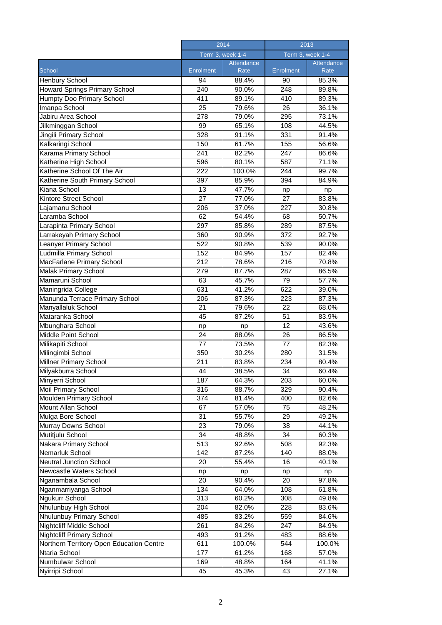|                                          | 2014<br>Term 3, week 1-4 |            | 2013<br>Term 3, week 1-4 |            |
|------------------------------------------|--------------------------|------------|--------------------------|------------|
|                                          |                          |            |                          |            |
|                                          |                          | Attendance |                          | Attendance |
| School                                   | <b>Enrolment</b>         | Rate       | Enrolment                | Rate       |
| Henbury School                           | 94                       | 88.4%      | 90                       | 85.3%      |
| Howard Springs Primary School            | 240                      | 90.0%      | 248                      | 89.8%      |
| Humpty Doo Primary School                | 411                      | 89.1%      | 410                      | 89.3%      |
| Imanpa School                            | 25                       | 79.6%      | 26                       | 36.1%      |
| Jabiru Area School                       | 278                      | 79.0%      | 295                      | 73.1%      |
| Jilkminggan School                       | 99                       | 65.1%      | 108                      | 44.5%      |
| Jingili Primary School                   | 328                      | 91.1%      | 331                      | 91.4%      |
| Kalkaringi School                        | 150                      | 61.7%      | 155                      | 56.6%      |
| Karama Primary School                    | 241                      | 82.2%      | 247                      | 86.6%      |
| Katherine High School                    | 596                      | 80.1%      | 587                      | 71.1%      |
| Katherine School Of The Air              | 222                      | 100.0%     | 244                      | 99.7%      |
| Katherine South Primary School           | 397                      | 85.9%      | 394                      | 84.9%      |
| Kiana School                             | 13                       | 47.7%      | np                       | np         |
| Kintore Street School                    | 27                       | 77.0%      | 27                       | 83.8%      |
| Lajamanu School                          | 206                      | 37.0%      | 227                      | 30.8%      |
| Laramba School                           | 62                       | 54.4%      | 68                       | 50.7%      |
| Larapinta Primary School                 | 297                      | 85.8%      | 289                      | 87.5%      |
|                                          |                          |            |                          |            |
| Larrakeyah Primary School                | 360                      | 90.9%      | 372                      | 92.7%      |
| Leanyer Primary School                   | 522                      | 90.8%      | 539                      | 90.0%      |
| Ludmilla Primary School                  | 152                      | 84.9%      | 157                      | 82.4%      |
| MacFarlane Primary School                | 212                      | 78.6%      | 216                      | 70.8%      |
| Malak Primary School                     | 279                      | 87.7%      | 287                      | 86.5%      |
| Mamaruni School                          | 63                       | 45.7%      | 79                       | 57.7%      |
| Maningrida College                       | 631                      | 41.2%      | 622                      | 39.0%      |
| Manunda Terrace Primary School           | 206                      | 87.3%      | 223                      | 87.3%      |
| Manyallaluk School                       | 21                       | 79.6%      | 22                       | 68.0%      |
| Mataranka School                         | 45                       | 87.2%      | 51                       | 83.9%      |
| Mbunghara School                         | np                       | np         | 12                       | 43.6%      |
| Middle Point School                      | 24                       | 88.0%      | 26                       | 86.5%      |
| Milikapiti School                        | 77                       | 73.5%      | 77                       | 82.3%      |
| Milingimbi School                        | 350                      | 30.2%      | 280                      | 31.5%      |
| Millner Primary School                   | 211                      | 83.8%      | 234                      | 80.4%      |
| Milyakburra School                       | 44                       | 38.5%      | 34                       | 60.4%      |
| Minyerri School                          | 187                      | 64.3%      | 203                      | 60.0%      |
| Moil Primary School                      | 316                      | 88.7%      | 329                      | 90.4%      |
| <b>Moulden Primary School</b>            | 374                      | 81.4%      | 400                      | 82.6%      |
| Mount Allan School                       | 67                       | 57.0%      | 75                       | 48.2%      |
| Mulga Bore School                        | 31                       | 55.7%      | 29                       | 49.2%      |
| Murray Downs School                      | 23                       | 79.0%      | 38                       | 44.1%      |
| Mutitjulu School                         | $\overline{34}$          | 48.8%      | 34                       | 60.3%      |
| Nakara Primary School                    | 513                      | 92.6%      | 508                      | 92.3%      |
| Nemarluk School                          | 142                      | 87.2%      | 140                      | 88.0%      |
| <b>Neutral Junction School</b>           | 20                       | 55.4%      | 16                       | 40.1%      |
| Newcastle Waters School                  | np                       | np         | np                       | np         |
| Nganambala School                        | 20                       | 90.4%      | 20                       | 97.8%      |
| Nganmarriyanga School                    | 134                      | 64.0%      | 108                      | 61.8%      |
| Ngukurr School                           | 313                      | 60.2%      | 308                      | 49.8%      |
| Nhulunbuy High School                    | 204                      | 82.0%      | 228                      | 83.6%      |
| Nhulunbuy Primary School                 | 485                      | 83.2%      | 559                      | 84.6%      |
| Nightcliff Middle School                 | 261                      | 84.2%      | 247                      | 84.9%      |
| <b>Nightcliff Primary School</b>         | 493                      | 91.2%      | 483                      | 88.6%      |
| Northern Territory Open Education Centre | 611                      | 100.0%     | 544                      | 100.0%     |
| Ntaria School                            | 177                      | 61.2%      | 168                      | 57.0%      |
| Numbulwar School                         | 169                      | 48.8%      | 164                      | 41.1%      |
| Nyirripi School                          | 45                       | 45.3%      | 43                       | 27.1%      |
|                                          |                          |            |                          |            |